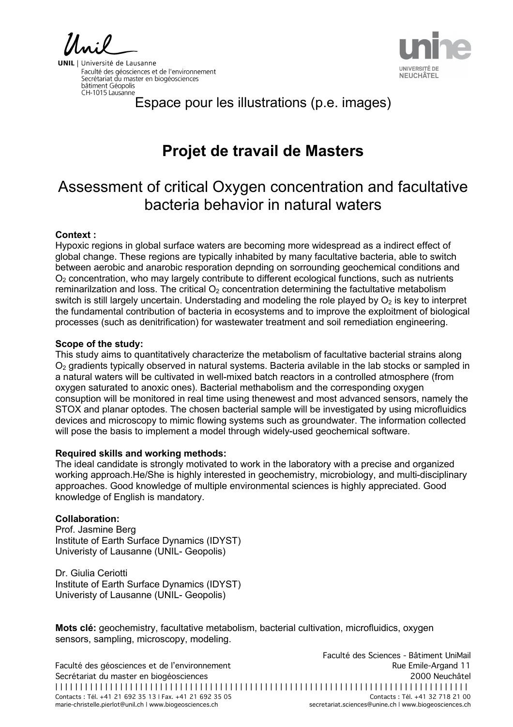**NEUCHÂTEL** 

**UNIL** | Université de Lausanne Faculté des géosciences et de l'environnement<br>Secrétariat du master en biogéosciences bâtiment Géopolis CH-1015 Lausanne

Espace pour les illustrations (p.e. images)

# **Projet de travail de Masters**

## Assessment of critical Oxygen concentration and facultative bacteria behavior in natural waters

#### **Context :**

Hypoxic regions in global surface waters are becoming more widespread as a indirect effect of global change. These regions are typically inhabited by many facultative bacteria, able to switch between aerobic and anarobic resporation depnding on sorrounding geochemical conditions and O2 concentration, who may largely contribute to different ecological functions, such as nutrients reminarilzation and loss. The critical  $O<sub>2</sub>$  concentration determining the factultative metabolism switch is still largely uncertain. Understading and modeling the role played by  $O<sub>2</sub>$  is key to interpret the fundamental contribution of bacteria in ecosystems and to improve the exploitment of biological processes (such as denitrification) for wastewater treatment and soil remediation engineering.

#### **Scope of the study:**

This study aims to quantitatively characterize the metabolism of facultative bacterial strains along  $O<sub>2</sub>$  gradients typically observed in natural systems. Bacteria avilable in the lab stocks or sampled in a natural waters will be cultivated in well-mixed batch reactors in a controlled atmosphere (from oxygen saturated to anoxic ones). Bacterial methabolism and the corresponding oxygen consuption will be monitored in real time using thenewest and most advanced sensors, namely the STOX and planar optodes. The chosen bacterial sample will be investigated by using microfluidics devices and microscopy to mimic flowing systems such as groundwater. The information collected will pose the basis to implement a model through widely-used geochemical software.

#### **Required skills and working methods:**

The ideal candidate is strongly motivated to work in the laboratory with a precise and organized working approach.He/She is highly interested in geochemistry, microbiology, and multi-disciplinary approaches. Good knowledge of multiple environmental sciences is highly appreciated. Good knowledge of English is mandatory.

### **Collaboration:**

Prof. Jasmine Berg Institute of Earth Surface Dynamics (IDYST) Univeristy of Lausanne (UNIL- Geopolis)

Dr. Giulia Ceriotti Institute of Earth Surface Dynamics (IDYST) Univeristy of Lausanne (UNIL- Geopolis)

**Mots clé:** geochemistry, facultative metabolism, bacterial cultivation, microfluidics, oxygen sensors, sampling, microscopy, modeling.

Faculté des Sciences - Bâtiment UniMail Faculté des géosciences et de l'environnement aux resultes des productes de l'antiques de l'environnement de l' Secrétariat du master en biogéosciences 2000 Neuchâtel | | | | | | | | | | | | | | | | | | | | | | | | | | | | | | | | | | | | | | | | | | | | | | | | | | | | | | | | | | | | | | | | | | | | | | | | | | | | | | | | | | | Contacts : Tél. +41 21 692 35 13 | Fax. +41 21 692 35 05 marie-christelle.pierlot@unil.ch | www.biogeosciences.ch secretariat.sciences@unine.ch | www.biogeosciences.ch